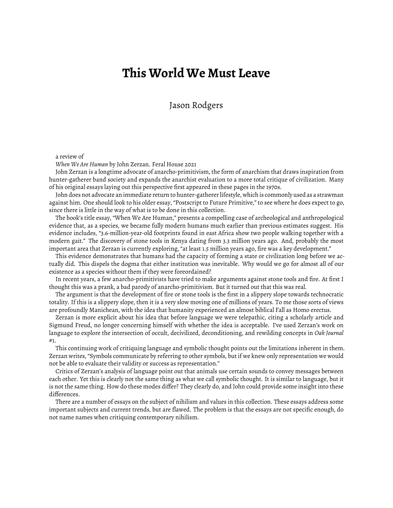## **This World We Must Leave**

Jason Rodgers

## a review of

*When We Are Human* by John Zerzan. Feral House 2021

John Zerzan is a longtime advocate of anarcho-primitivism, the form of anarchism that draws inspiration from hunter-gatherer band society and expands the anarchist evaluation to a more total critique of civilization. Many of his original essays laying out this perspective first appeared in these pages in the 1970s.

John does not advocate an immediate return to hunter-gatherer lifestyle, which is commonly used as a strawman against him. One should look to his older essay, "Postscript to Future Primitive," to see where he does expect to go, since there is little in the way of what is to be done in this collection.

The book's title essay, "When We Are Human," presents a compelling case of archeological and anthropological evidence that, as a species, we became fully modern humans much earlier than previous estimates suggest. His evidence includes, "3.6-million-year-old footprints found in east Africa show two people walking together with a modern gait." The discovery of stone tools in Kenya dating from 3.3 million years ago. And, probably the most important area that Zerzan is currently exploring, "at least 1.5 million years ago, fire was a key development."

This evidence demonstrates that humans had the capacity of forming a state or civilization long before we actually did. This dispels the dogma that either institution was inevitable. Why would we go for almost all of our existence as a species without them if they were foreordained?

In recent years, a few anarcho-primitivists have tried to make arguments against stone tools and fire. At first I thought this was a prank, a bad parody of anarcho-primitivism. But it turned out that this was real.

The argument is that the development of fire or stone tools is the first in a slippery slope towards technocratic totality. If this is a slippery slope, then it is a very slow moving one of millions of years. To me those sorts of views are profoundly Manichean, with the idea that humanity experienced an almost biblical Fall as Homo erectus.

Zerzan is more explicit about his idea that before language we were telepathic, citing a scholarly article and Sigmund Freud, no longer concerning himself with whether the idea is acceptable. I've used Zerzan's work on language to explore the intersection of occult, decivilized, deconditioning, and rewilding concepts in *Oak Journal* #1.

This continuing work of critiquing language and symbolic thought points out the limitations inherent in them. Zerzan writes, "Symbols communicate by referring to other symbols, but if we knew only representation we would not be able to evaluate their validity or success as representation."

Critics of Zerzan's analysis of language point out that animals use certain sounds to convey messages between each other. Yet this is clearly not the same thing as what we call symbolic thought. It is similar to language, but it is not the same thing. How do these modes differ? They clearly do, and John could provide some insight into these differences.

There are a number of essays on the subject of nihilism and values in this collection. These essays address some important subjects and current trends, but are flawed. The problem is that the essays are not specific enough, do not name names when critiquing contemporary nihilism.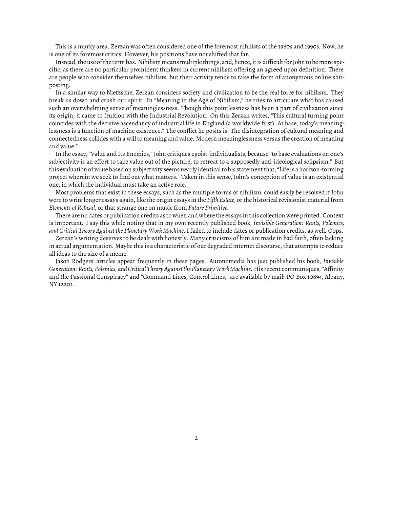This is a murky area. Zerzan was often considered one of the foremost nihilists of the 1980s and 1990s. Now, he is one of its foremost critics. However, his positions have not shifted that far.

Instead, the use of the term has. Nihilism means multiple things, and, hence, it is difficult for John to be more specific, as there are no particular prominent thinkers in current nihilism offering an agreed upon definition. There are people who consider themselves nihilists, but their activity tends to take the form of anonymous online shitposting.

In a similar way to Nietzsche, Zerzan considers society and civilization to be the real force for nihilism. They break us down and crush our spirit. In "Meaning in the Age of Nihilism," he tries to articulate what has caused such an overwhelming sense of meaninglessness. Though this pointlessness has been a part of civilization since its origin, it came to fruition with the Industrial Revolution. On this Zerzan writes, "This cultural turning point coincides with the decisive ascendancy of industrial life in England (a worldwide first). At base, today's meaninglessness is a function of machine existence." The conflict he posits is "The disintegration of cultural meaning and connectedness collides with a will to meaning and value. Modern meaninglessness versus the creation of meaning and value."

In the essay, "Value and Its Enemies," John critiques egoist-individualists, because "to base evaluations on one's subjectivity is an effort to take value out of the picture, to retreat to a supposedly anti-ideological solipsism." But this evaluation of value based on subjectivity seems nearly identical to his statement that, "Life is a horizon-forming project wherein we seek to find out what matters." Taken in this sense, John's conception of value is an existential one, in which the individual must take an active role.

Most problems that exist in these essays, such as the multiple forms of nihilism, could easily be resolved if John were to write longer essays again, like the origin essays in the *Fifth Estate*, or the historical revisionist material from *Elements of Refusal*, or that strange one on music from *Future Primitive.*

There are no dates or publication credits as to when and where the essays in this collection were printed. Context is important. I say this while noting that in my own recently published book, *Invisible Generation: Rants, Polemics, and Critical Theory Against the Planetary Work Machine*, I failed to include dates or publication credits, as well. Oops.

Zerzan's writing deserves to be dealt with honestly. Many criticisms of him are made in bad faith, often lacking in actual argumentation. Maybe this is a characteristic of our degraded internet discourse, that attempts to reduce all ideas to the size of a meme.

Jason Rodgers' articles appear frequently in these pages. Autonomedia has just published his book, *Invisible Generation: Rants, Polemics, and Critical Theory Against the Planetary Work Machine*. His recent communiques, "Affinity and the Passional Conspiracy" and "Command Lines, Control Lines," are available by mail: PO Box 10894, Albany, NY 12201.